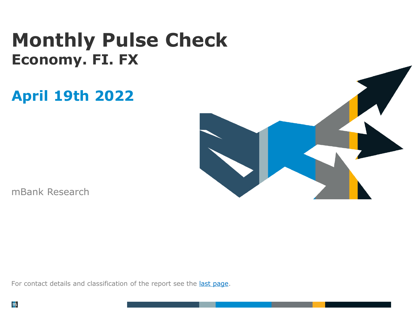# **Monthly Pulse Check Economy. FI. FX**

# **April 19th 2022**



mBank Research

For contact details and classification of the report see the last [page.](#page-6-0)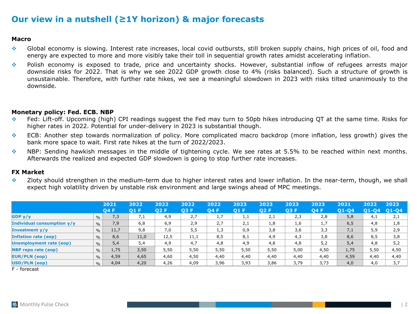## **Our view in a nutshell (≥1Y horizon) & major forecasts**

### **Macro**

- ❖ Global economy is slowing. Interest rate increases, local covid outbursts, still broken supply chains, high prices of oil, food and energy are expected to more and more visibly take their toll in sequential growth rates amidst accelerating inflation.
- ❖ Polish economy is exposed to trade, price and uncertainty shocks. However, substantial inflow of refugees arrests major downside risks for 2022. That is why we see 2022 GDP growth close to 4% (risks balanced). Such a structure of growth is unsustainable. Therefore, with further rate hikes, we see a meaningful slowdown in 2023 with risks tilted unanimously to the downside.

### **Monetary policy: Fed. ECB. NBP**

- ❖ Fed: Lift-off. Upcoming (high) CPI readings suggest the Fed may turn to 50pb hikes introducing QT at the same time. Risks for higher rates in 2022. Potential for under-delivery in 2023 is substantial though.
- ❖ ECB: Another step towards normalization of policy. More complicated macro backdrop (more inflation, less growth) gives the bank more space to wait. First rate hikes at the turn of 2022/2023.
- ❖ NBP: Sending hawkish messages in the middle of tightening cycle. We see rates at 5.5% to be reached within next months. Afterwards the realized and expected GDP slowdown is going to stop further rate increases.

#### **FX Market**

❖ Zloty should strengthen in the medium-term due to higher interest rates and lower inflation. In the near-term, though, we shall expect high volatility driven by unstable risk environment and large swings ahead of MPC meetings.

|                                |               | 2021 | 2022 | 2022 | 2022       | 2022       | 2023 | 2023 | 2023 | 2023 | 2021      | 2022   | 2023      |
|--------------------------------|---------------|------|------|------|------------|------------|------|------|------|------|-----------|--------|-----------|
|                                |               | O4 F | 01 F | 02 F | <b>O3F</b> | <b>Q4F</b> | 01 F | 02 F | 03 F | 04 F | $01 - 04$ | O1-04' | $ O1-O4 $ |
| GDP <sub>y</sub> /y            | $\%$          | 7,3  | 7,1  | 4,9  | 2,7        | 1,7        | 1,1  | 2,1  | 2,3  | 2,8  | 5,8       | 4,1    | 2,1       |
| Individual consumption y/y     | $\frac{0}{0}$ | 7,9  | 6,8  | 6,9  | 2,9        | 2,7        | 2,1  | 1,8  | 1,6  | 1,7  | 6, 5      | 4,8    | 1,8       |
| <b>Investment y/y</b>          | $\frac{0}{0}$ | 11,7 | 9,8  | 7,0  | 5,5        | 1,3        | 0,9  | 3,8  | 3,6  | 3,3  | 7,1       | 5,9    | 2,9       |
| <b>Inflation rate (eop)</b>    | $\frac{0}{0}$ | 8,6  | 11,0 | 12,5 | 11,1       | 8,5        | 8,1  | 4,9  | 4,3  | 3,8  | 8,6       | 8,5    | 3,8       |
| <b>Unemployment rate (eop)</b> | $\frac{0}{0}$ | 5,4  | 5,4  | 4,9  | 4,7        | 4,8        | 4,9  | 4,8  | 4,8  | 5,2  | 5,4       | 4,8    | 5,2       |
| <b>NBP</b> repo rate (eop)     | $\frac{0}{0}$ | 1,75 | 3,50 | 5,50 | 5,50       | 5,50       | 5,50 | 5,50 | 5,00 | 4,50 | 1,75      | 5,50   | 4,50      |
| <b>EUR/PLN (eop)</b>           | $\frac{0}{0}$ | 4,59 | 4,65 | 4,60 | 4,50       | 4,40       | 4,40 | 4,40 | 4,40 | 4,40 | 4,59      | 4,40   | 4,40      |
| USD/PLN (eop)                  | $\frac{0}{0}$ | 4,04 | 4,20 | 4,26 | 4,09       | 3,96       | 3,93 | 3,86 | 3,79 | 3,73 | 4,0       | 4,0    | 3,7       |

F - forecast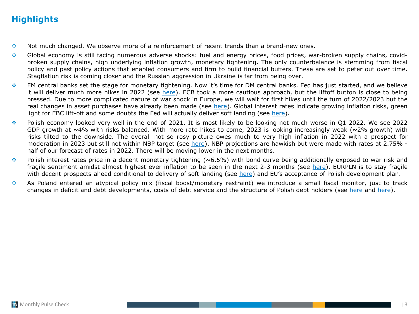## **Highlights**

- ❖ Not much changed. We observe more of a reinforcement of recent trends than a brand-new ones.
- ❖ Global economy is still facing numerous adverse shocks: fuel and energy prices, food prices, war-broken supply chains, covidbroken supply chains, high underlying inflation growth, monetary tightening. The only counterbalance is stemming from fiscal policy and past policy actions that enabled consumers and firm to build financial buffers. These are set to peter out over time. Stagflation risk is coming closer and the Russian aggression in Ukraine is far from being over.
- ❖ EM central banks set the stage for monetary tightening. Now it's time for DM central banks. Fed has just started, and we believe it will deliver much more hikes in 2022 (see [here\)](#page-3-0). ECB took a more cautious approach, but the liftoff button is close to being pressed. Due to more complicated nature of war shock in Europe, we will wait for first hikes until the turn of 2022/2023 but the real changes in asset purchases have already been made (see [here](#page-4-0)). Global interest rates indicate growing inflation risks, green light for EBC lift-off and some doubts the Fed will actually deliver soft landing (see [here\)](#page-5-0).
- ❖ Polish economy looked very well in the end of 2021. It is most likely to be looking not much worse in Q1 2022. We see 2022 GDP growth at ~4% with risks balanced. With more rate hikes to come, 2023 is looking increasingly weak (~2% growth) with risks tilted to the downside. The overall not so rosy picture owes much to very high inflation in 2022 with a prospect for moderation in 2023 but still not within NBP target (see [here\)](#page-10-0). NBP projections are hawkish but were made with rates at 2.75% half of our forecast of rates in 2022. There will be moving lower in the next months.
- $\bullet$  Polish interest rates price in a decent monetary tightening (~6.5%) with bond curve being additionally exposed to war risk and fragile sentiment amidst almost highest ever inflation to be seen in the next 2-3 months (see [here\)](#page-13-0). EURPLN is to stay fragile with decent prospects ahead conditional to delivery of soft landing (see [here\)](#page-16-0) and EU's acceptance of Polish development plan.
- ❖ As Poland entered an atypical policy mix (fiscal boost/monetary restraint) we introduce a small fiscal monitor, just to track changes in deficit and debt developments, costs of debt service and the structure of Polish debt holders (see [here](#page-15-0) and [here](#page-14-0)).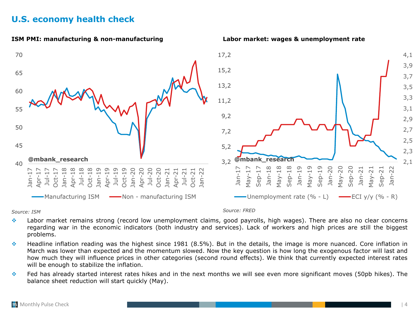## <span id="page-3-0"></span>**U.S. economy health check**



*Source: ISM Source: FRED*

- ❖ Labor market remains strong (record low unemployment claims, good payrolls, high wages). There are also no clear concerns regarding war in the economic indicators (both industry and services). Lack of workers and high prices are still the biggest problems.
- ❖ Headline inflation reading was the highest since 1981 (8.5%). But in the details, the image is more nuanced. Core inflation in March was lower than expected and the momentum slowed. Now the key question is how long the exogenous factor will last and how much they will influence prices in other categories (second round effects). We think that currently expected interest rates will be enough to stabilize the inflation.
- ❖ Fed has already started interest rates hikes and in the next months we will see even more significant moves (50pb hikes). The balance sheet reduction will start quickly (May).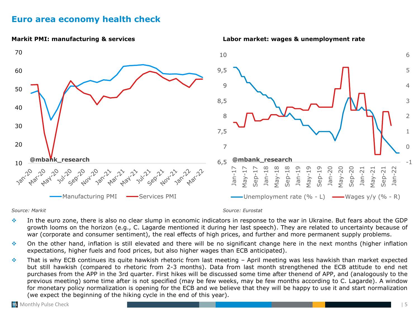## <span id="page-4-0"></span>**Euro area economy health check**



#### *Source: Markit Source: Eurostat*

- ❖ In the euro zone, there is also no clear slump in economic indicators in response to the war in Ukraine. But fears about the GDP growth looms on the horizon (e.g., C. Lagarde mentioned it during her last speech). They are related to uncertainty because of war (corporate and consumer sentiment), the real effects of high prices, and further and more permanent supply problems.
- ❖ On the other hand, inflation is still elevated and there will be no significant change here in the next months (higher inflation expectations, higher fuels and food prices, but also higher wages than ECB anticipated).
- ❖ That is why ECB continues its quite hawkish rhetoric from last meeting April meeting was less hawkish than market expected but still hawkish (compared to rhetoric from 2-3 months). Data from last month strengthened the ECB attitude to end net purchases from the APP in the 3rd quarter. First hikes will be discussed some time after thenend of APP, and (analogously to the previous meeting) some time after is not specified (may be few weeks, may be few months according to C. Lagarde). A window for monetary policy normalization is opening for the ECB and we believe that they will be happy to use it and start normalization (we expect the beginning of the hiking cycle in the end of this year).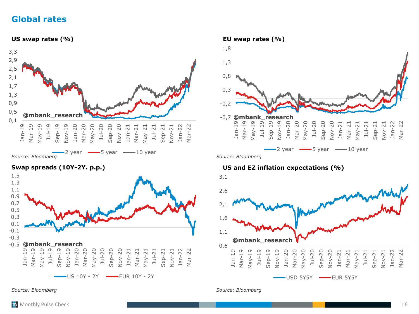## <span id="page-5-0"></span>**Global rates**





*Source: Bloomberg Source: Bloomberg*



### **Swap spreads (10Y-2Y. p.p.) US and EZ inflation expectations (%)**

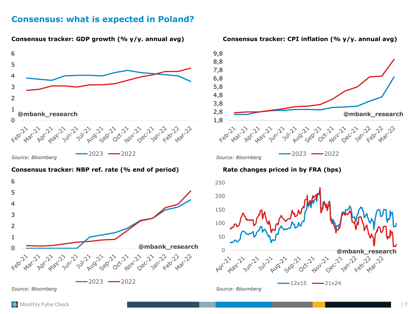## <span id="page-6-0"></span>**Consensus: what is expected in Poland?**



#### **Consensus tracker: NBP ref. rate (% end of period) Rate changes priced in by FRA (bps)**





 $-12x15$   $-21x24$ 

*Source: Bloomberg*

## **Consensus tracker: GDP growth (% y/y. annual avg) Consensus tracker: CPI inflation (% y/y. annual avg)**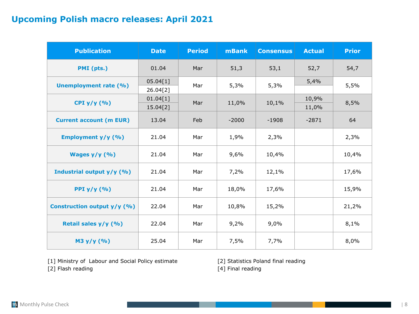## **Upcoming Polish macro releases: April 2021**

| <b>Publication</b>             | <b>Date</b>          | <b>Period</b> | <b>mBank</b> | <b>Consensus</b> | <b>Actual</b>  | <b>Prior</b> |
|--------------------------------|----------------------|---------------|--------------|------------------|----------------|--------------|
| PMI (pts.)                     | 01.04                | Mar           | 51,3         | 53,1             | 52,7           | 54,7         |
| <b>Unemployment rate (%)</b>   | 05.04[1]<br>26.04[2] | Mar           | 5,3%         | 5,3%             | 5,4%           | 5,5%         |
| CPI $y/y$ (%)                  | 01.04[1]<br>15.04[2] | Mar           | 11,0%        | 10,1%            | 10,9%<br>11,0% | 8,5%         |
| <b>Current account (m EUR)</b> | 13.04                | Feb           | $-2000$      | $-1908$          | $-2871$        | 64           |
| Employment y/y (%)             | 21.04                | Mar           | 1,9%         | 2,3%             |                | 2,3%         |
| Wages $y/y$ (%)                | 21.04                | Mar           | 9,6%         | 10,4%            |                | 10,4%        |
| Industrial output y/y (%)      | 21.04                | Mar           | 7,2%         | 12,1%            |                | 17,6%        |
| PPI $y/y$ (%)                  | 21.04                | Mar           | 18,0%        | 17,6%            |                | 15,9%        |
| Construction output y/y (%)    | 22.04                | Mar           | 10,8%        | 15,2%            |                | 21,2%        |
| Retail sales y/y (%)           | 22.04                | Mar           | 9,2%         | 9,0%             |                | 8,1%         |
| M3 y/y (%)                     | 25.04                | Mar           | 7,5%         | 7,7%             |                | 8,0%         |

[1] Ministry of Labour and Social Policy estimate [2] Statistics Poland final reading

[2] Flash reading [4] Final reading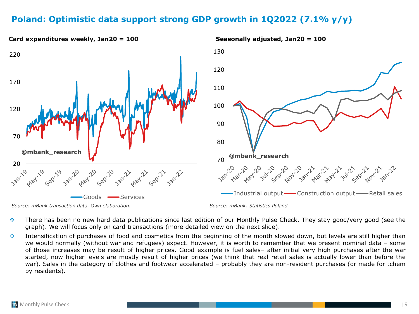## **Poland: Optimistic data support strong GDP growth in 1Q2022 (7.1% y/y)**



- ❖ There has been no new hard data publications since last edition of our Monthly Pulse Check. They stay good/very good (see the graph). We will focus only on card transactions (more detailed view on the next slide).
- ❖ Intensification of purchases of food and cosmetics from the beginning of the month slowed down, but levels are still higher than we would normally (without war and refugees) expect. However, it is worth to remember that we present nominal data – some of those increases may be result of higher prices. Good example is fuel sales– after initial very high purchases after the war started, now higher levels are mostly result of higher prices (we think that real retail sales is actually lower than before the war). Sales in the category of clothes and footwear accelerated – probably they are non-resident purchases (or made for tchem by residents).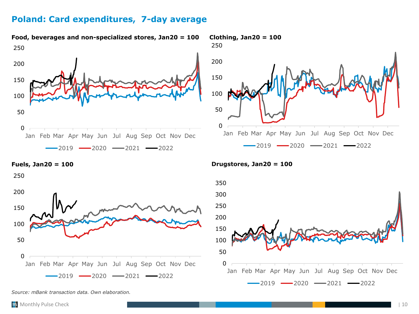## **Poland: Card expenditures, 7-day average**

**Food, beverages and non-specialized stores, Jan20 = 100 Clothing, Jan20 = 100**







*Source: mBank transaction data. Own elaboration.*

**Fuels, Jan20 = 100 Drugstores, Jan20 = 100**

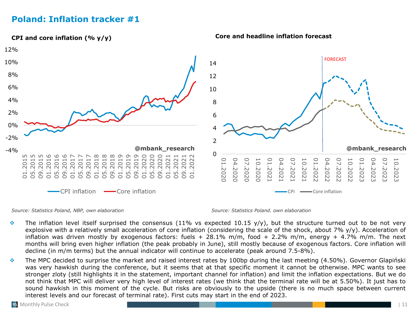## <span id="page-10-0"></span>**Poland: Inflation tracker #1**



*Source: Statistics Poland, NBP, own elaboration Source: Statistics Poland. own elaboration*

- $\cdot$  The inflation level itself surprised the consensus (11% vs expected 10.15 y/y), but the structure turned out to be not very explosive with a relatively small acceleration of core inflation (considering the scale of the shock, about 7% y/y). Acceleration of inflation was driven mostly by exogenous factors: fuels  $+$  28.1% m/m, food  $+$  2.2% m/m, energy  $+$  4.7% m/m. The next months will bring even higher inflation (the peak probably in June), still mostly because of exogenous factors. Core inflation will decline (in m/m terms) but the annual indicator will continue to accelerate (peak around 7.5-8%).
- ❖ The MPC decided to surprise the market and raised interest rates by 100bp during the last meeting (4.50%). Governor Glapiński was very hawkish during the conference, but it seems that at that specific moment it cannot be otherwise. MPC wants to see stronger zloty (still highlights it in the statement, important channel for inflation) and limit the inflation expectations. But we do not think that MPC will deliver very high level of interest rates (we think that the terminal rate will be at 5.50%). It just has to sound hawkish in this moment of the cycle. But risks are obviously to the upside (there is no much space between current interest levels and our forecast of terminal rate). First cuts may start in the end of 2023.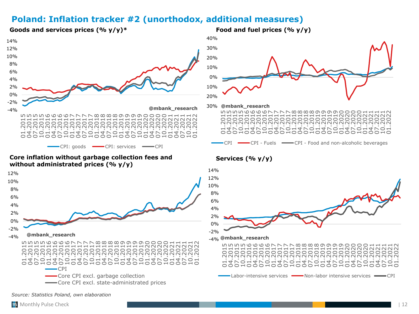## **Poland: Inflation tracker #2 (unorthodox, additional measures)**

**Goods and services prices (% y/y)\* Food and fuel prices (% y/y)** 



#### **Core inflation without garbage collection fees and without administrated prices (% y/y)**





## **Services (% y/y)**



CPI CPI - Fuels CPI - Food and non-alcoholic beverages

*Source: Statistics Poland, own elaboration*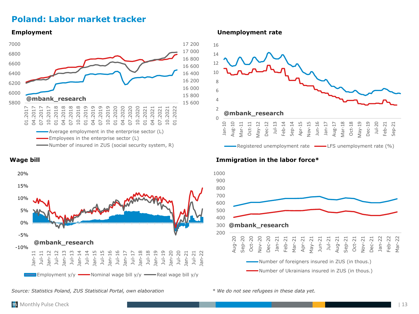## **Poland: Labor market tracker**





*Source: Statistics Poland, ZUS Statistical Portal, own elaboration*

**Employment Unemployment rate**



### **Wage bill Immigration in the labor force\***



*\* We do not see refugees in these data yet.*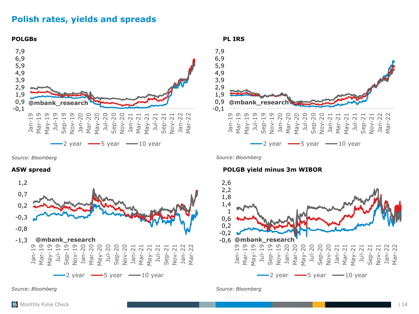## <span id="page-13-0"></span>**Polish rates, yields and spreads**





*Source: Bloomberg Source: Bloomberg*



#### **ASW spread POLGB yield minus 3m WIBOR**



*Source: Bloomberg Source: Bloomberg*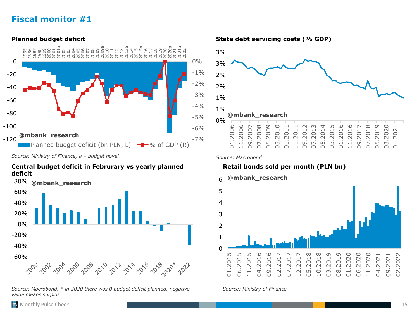## <span id="page-14-0"></span>**Fiscal monitor #1**

 $-7%$ -6% -5%  $-4%$ -3% -2%  $-1\%$ 0% -120 -100 -80 -60 -40 -20 0 1995 1996 1997 1998 1999 2000 2001 2001a 2002 2003 2004 2005 2006 2007 2008 2009 2009a 2010 2011 2012 2013 2013a 2014 2015 2015a 2016 2017 2018 2019 2020 2020a 2021 2021a 2022 Planned budget deficit (bn PLN, L)  $-\rightarrow\%$  of GDP (R) **@mbank\_research**

*Source: Ministry of Finance, a – budget novel*

### **Central budget deficit in Februrary vs yearly planned deficit**

80% **@mbank\_research** 60% 40% 20% 0% -20% -40% -60% 2000 2 2004 7 A 2006 **POIL ADVA AD16 PO**VB 2002 2008 2010 2020X

*Source: Macrobond, \* in 2020 there was 0 budget deficit planned, negative value means surplus*

**Planned budget deficit State debt servicing costs (% GDP)**



*Source: Macrobond*

## **Retail bonds sold per month (PLN bn)**



#### *Source: Ministry of Finance*

an Monthly Pulse Check | 15 April 2014 | 15 April 2014 | 15 April 2014 | 15 April 2014 | 15 April 2014 | 15 Apr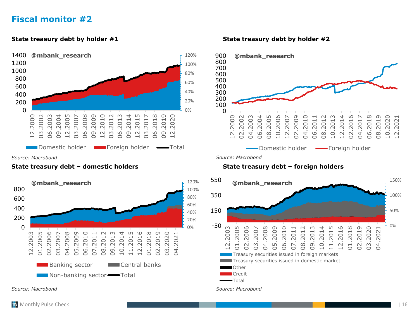## <span id="page-15-0"></span>**Fiscal monitor #2**



### **State treasury debt – domestic holders State treasury debt – foreign holders**



*Source: Macrobond Source: Macrobond*

### **State treasury debt by holder #1 State treasury debt by holder #2**



*Source: Macrobond Source: Macrobond*

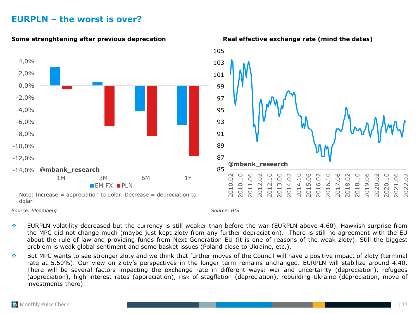## <span id="page-16-0"></span>**EURPLN – the worst is over?**







#### *Source: Bloomberg Source: BIS*

- ❖ EURPLN volatility decreased but the currency is still weaker than before the war (EURPLN above 4.60). Hawkish surprise from the MPC did not change much (maybe just kept zloty from any further depreciation). There is still no agreement with the EU about the rule of law and providing funds from Next Generation EU (it is one of reasons of the weak zloty). Still the biggest problem is weak global sentiment and some basket issues (Poland close to Ukraine, etc.).
- ❖ But MPC wants to see stronger zloty and we think that further moves of the Council will have a positive impact of zloty (terminal rate at 5.50%). Our view on zloty's perspectives in the longer term remains unchanged. EURPLN will stabilize around 4.40. There will be several factors impacting the exchange rate in different ways: war and uncertainty (depreciation), refugees (appreciation), high interest rates (appreciation), risk of stagflation (depreciation), rebuilding Ukraine (depreciation, move of investments there).